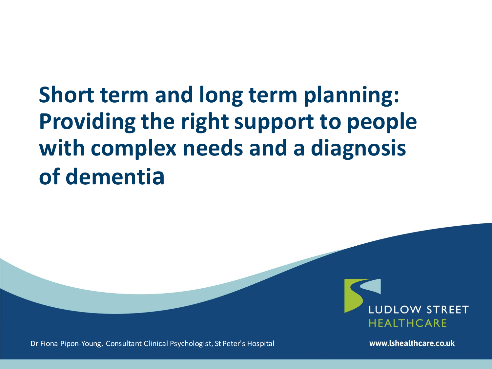# **Short term and long term planning: Providing the right support to people with complex needs and a diagnosis of dementia**



Dr Fiona Pipon-Young, Consultant Clinical Psychologist, St Peter's Hospital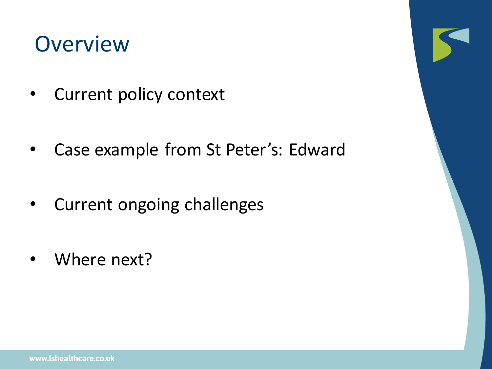### **Overview**

- Current policy context
- Case example from St Peter's: Edward
- Current ongoing challenges
- Where next?

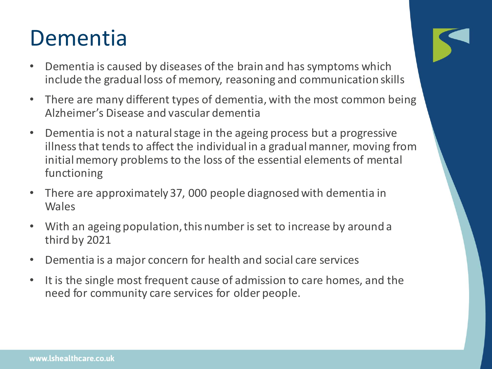### Dementia

- Dementia is caused by diseases of the brain and has symptoms which include the gradual loss of memory, reasoning and communication skills
- There are many different types of dementia, with the most common being Alzheimer's Disease and vascular dementia
- Dementia is not a natural stage in the ageing process but a progressive illness that tends to affect the individual in a gradual manner, moving from initial memory problems to the loss of the essential elements of mental functioning
- There are approximately 37, 000 people diagnosed with dementia in Wales
- With an ageing population, this number is set to increase by around a third by 2021
- Dementia is a major concern for health and social care services
- It is the single most frequent cause of admission to care homes, and the need for community care services for older people.

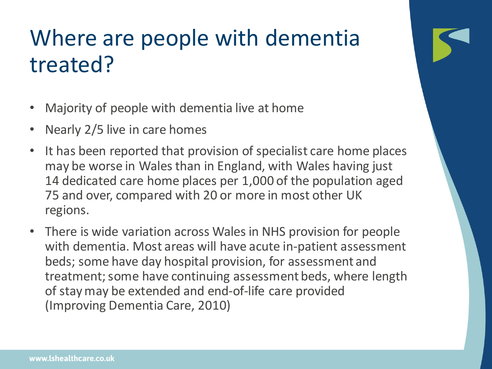# Where are people with dementia treated?

- Majority of people with dementia live at home
- Nearly 2/5 live in care homes
- It has been reported that provision of specialist care home places may be worse in Wales than in England, with Wales having just 14 dedicated care home places per 1,000 of the population aged 75 and over, compared with 20 or more in most other UK regions.
- There is wide variation across Wales in NHS provision for people with dementia. Most areas will have acute in-patient assessment beds; some have day hospital provision, for assessment and treatment; some have continuing assessment beds, where length of stay may be extended and end-of-life care provided (Improving Dementia Care, 2010)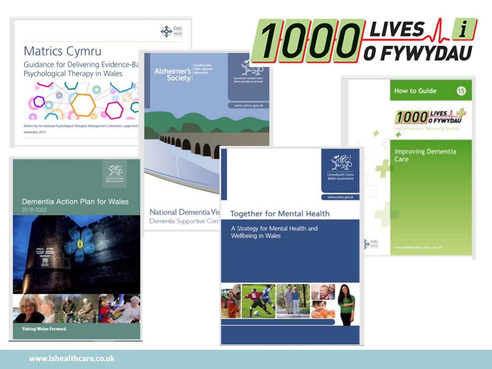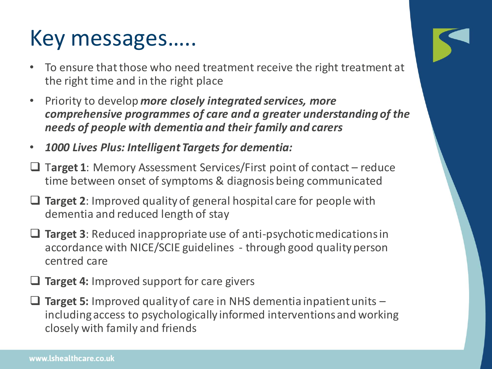# Key messages…..

- To ensure that those who need treatment receive the right treatment at the right time and in the right place
- Priority to develop *more closely integrated services, more comprehensive programmes of care and a greater understanding of the needs of people with dementia and their family and carers*
- *1000 Lives Plus: Intelligent Targets for dementia:*
- ❑ T**arget 1**: Memory Assessment Services/First point of contact reduce time between onset of symptoms & diagnosis being communicated
- ❑ **Target 2**: Improved quality of general hospital care for people with dementia and reduced length of stay
- ❑ **Target 3**: Reduced inappropriate use of anti-psychotic medications in accordance with NICE/SCIE guidelines - through good quality person centred care
- ❑ **Target 4:** Improved support for care givers
- ❑ **Target 5:** Improved quality of care in NHS dementia inpatient units including access to psychologically informed interventions and working closely with family and friends

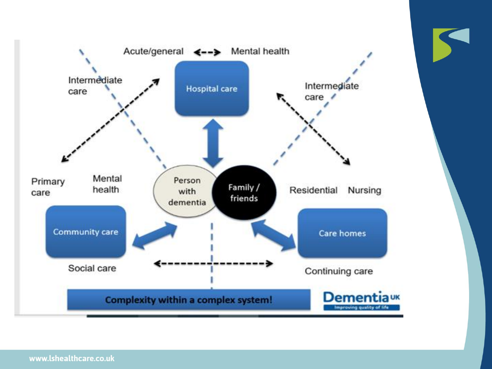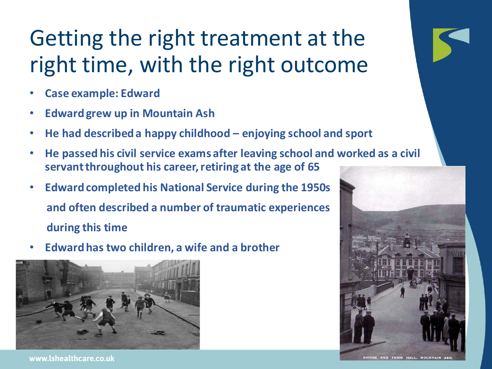# Getting the right treatment at the right time, with the right outcome

- **Case example: Edward**
- **Edward grew up in Mountain Ash**
- **He had described a happy childhood – enjoying school and sport**
- **He passed his civil service exams after leaving school and worked as a civil servant throughout his career, retiring at the age of 65**
- **Edward completed his National Service during the 1950s and often described a number of traumatic experiences during this time**
- **Edward has two children, a wife and a brother**





BRIDGE AND TOWN HALL, MOUNTAIN ASH.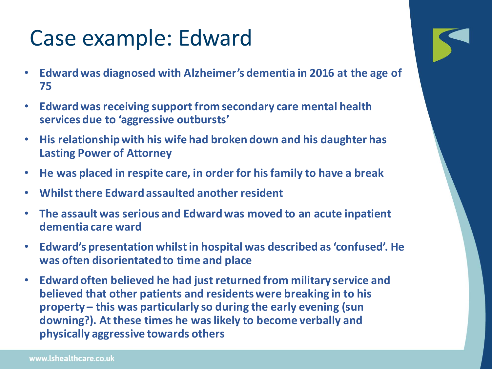# Case example: Edward

- **Edward was diagnosed with Alzheimer's dementia in 2016 at the age of 75**
- **Edward was receiving support from secondary care mental health services due to 'aggressive outbursts'**
- **His relationship with his wife had broken down and his daughter has Lasting Power of Attorney**
- **He was placed in respite care, in order for his family to have a break**
- **Whilst there Edward assaulted another resident**
- **The assault was serious and Edward was moved to an acute inpatient dementia care ward**
- **Edward's presentation whilst in hospital was described as 'confused'. He was often disorientated to time and place**
- **Edward often believed he had just returned from military service and believed that other patients and residents were breaking in to his property – this was particularly so during the early evening (sun downing?). At these times he was likely to become verbally and physically aggressive towards others**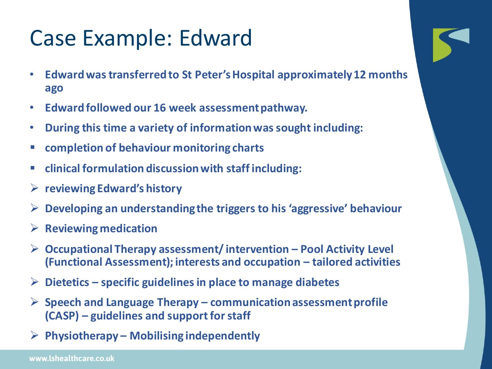## Case Example: Edward

- **Edward was transferred to St Peter's Hospital approximately 12 months ago**
- **Edward followed our 16 week assessment pathway.**
- **During this time a variety of information was sought including:**
- **completion of behaviour monitoring charts**
- **clinical formulation discussion with staff including:**
- ➢ **reviewing Edward's history**
- ➢ **Developing an understanding the triggers to his 'aggressive' behaviour**
- ➢ **Reviewing medication**
- ➢ **Occupational Therapy assessment/ intervention – Pool Activity Level (Functional Assessment); interests and occupation – tailored activities**
- ➢ **Dietetics – specific guidelines in place to manage diabetes**
- ➢ **Speech and Language Therapy – communication assessment profile (CASP) – guidelines and support for staff**
- ➢ **Physiotherapy – Mobilising independently**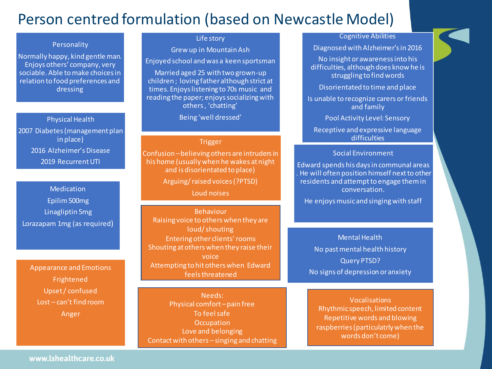### Person centred formulation (based on Newcastle Model)

#### Personality

Normally happy, kind gentle man. Enjoys others' company, very sociable. Able to make choices in relation to food preferences and dressing

Physical Health 2007 Diabetes (management plan in place) 2016 Alzheimer's Disease 2019 Recurrent UTI

Medication Epilim500mg Linagliptin 5mg Lorazapam 1mg (as required)

Appearance and Emotions Frightened Upset / confused Lost – can't find room Anger

#### Life story

Grew up in Mountain Ash

Enjoyed school and was a keen sportsman

Married aged 25 with two grown-up children ; loving father although strict at times. Enjoys listening to 70s music and reading the paper; enjoys socializing with others , 'chatting'

Being 'well dressed'

#### Trigger

Confusion –believing others are intruders in his home (usually when he wakes at night and is disorientated to place)

Arguing/ raised voices (?PTSD)

Loud noises

Behaviour Raising voice to others when they are loud/ shouting Entering other clients' rooms Shouting at others when they raise their voice Attempting to hit others when Edward feels threatened

Needs: Physical comfort – pain free To feel safe **Occupation** Love and belonging Contact with others – singing and chatting

#### Cognitive Abilities

Diagnosed with Alzheimer's in 2016 No insight or awareness into his difficulties, although does know he is struggling to find words

Disorientated to time and place

Is unable to recognize carers or friends and family

Pool Activity Level: Sensory

Receptive and expressive language difficulties

#### Social Environment

Edward spends his days in communal areas . He will often position himself next to other residents and attempt to engage them in conversation.

He enjoys music and singing with staff

Mental Health No past mental health history Query PTSD? No signs of depression or anxiety

Vocalisations Rhythmic speech, limited content Repetitive words and blowing raspberries (particulatrlywhen the words don't come)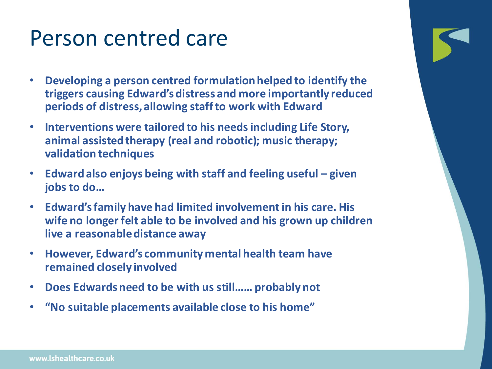### Person centred care

- **Developing a person centred formulation helped to identify the triggers causing Edward's distress and more importantly reduced periods of distress, allowing staff to work with Edward**
- **Interventions were tailored to his needs including Life Story, animal assisted therapy (real and robotic); music therapy; validation techniques**
- **Edward also enjoys being with staff and feeling useful – given jobs to do…**
- **Edward's family have had limited involvement in his care. His wife no longer felt able to be involved and his grown up children live a reasonable distance away**
- **However, Edward's community mental health team have remained closely involved**
- **Does Edwards need to be with us still…… probably not**
- **"No suitable placements available close to his home"**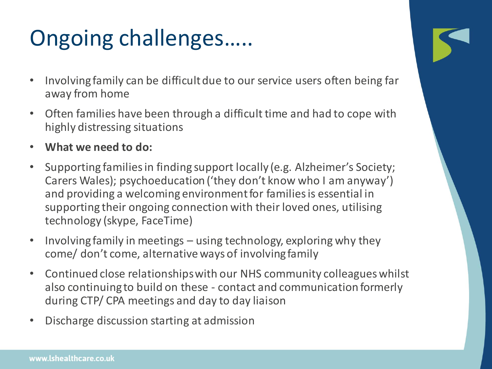# Ongoing challenges…..

- Involving family can be difficult due to our service users often being far away from home
- Often families have been through a difficult time and had to cope with highly distressing situations
- **What we need to do:**
- Supporting families in finding support locally (e.g. Alzheimer's Society; Carers Wales); psychoeducation ('they don't know who I am anyway') and providing a welcoming environment for families is essential in supporting their ongoing connection with their loved ones, utilising technology (skype, FaceTime)
- Involving family in meetings using technology, exploring why they come/ don't come, alternative ways of involving family
- Continued close relationships with our NHS community colleagues whilst also continuing to build on these - contact and communication formerly during CTP/ CPA meetings and day to day liaison
- Discharge discussion starting at admission

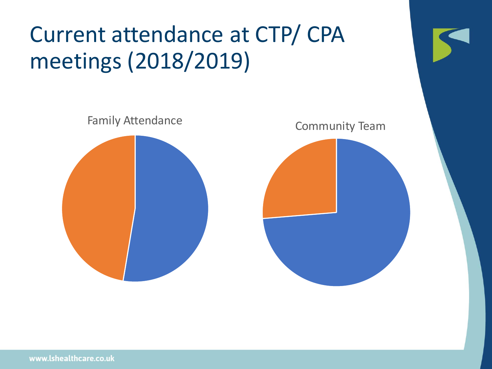# Current attendance at CTP/ CPA meetings (2018/2019)



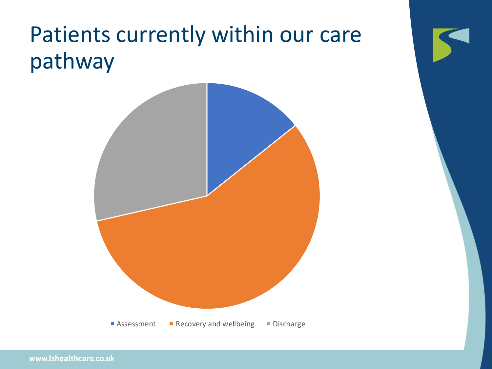# Patients currently within our care pathway

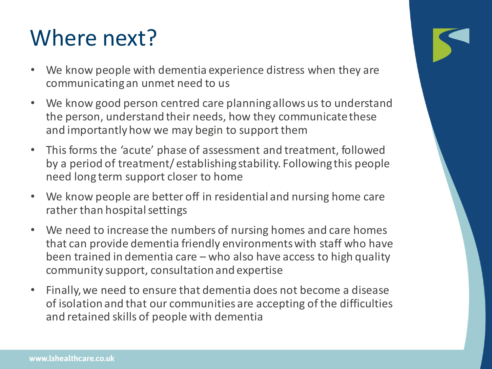# Where next?

- We know people with dementia experience distress when they are communicating an unmet need to us
- We know good person centred care planning allows us to understand the person, understand their needs, how they communicate these and importantly how we may begin to support them
- This forms the 'acute' phase of assessment and treatment, followed by a period of treatment/ establishing stability. Following this people need long term support closer to home
- We know people are better off in residential and nursing home care rather than hospital settings
- We need to increase the numbers of nursing homes and care homes that can provide dementia friendly environments with staff who have been trained in dementia care – who also have access to high quality community support, consultation and expertise
- Finally, we need to ensure that dementia does not become a disease of isolation and that our communities are accepting of the difficulties and retained skills of people with dementia